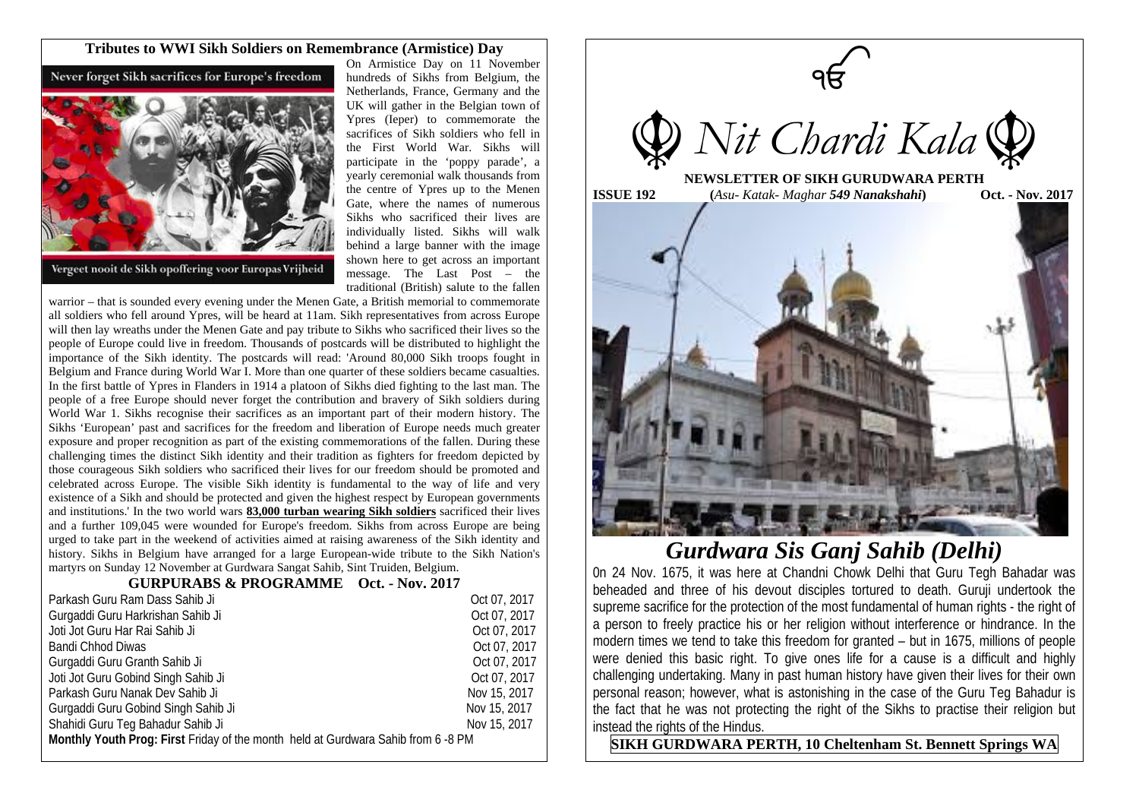## **Tributes to WWI Sikh Soldiers on Remembrance (Armistice) Day**

Never forget Sikh sacrifices for Europe's freedom



Vergeet nooit de Sikh opoffering voor Europas Vrijheid

On Armistice Day on 11 November hundreds of Sikhs from Belgium, the Netherlands, France, Germany and the UK will gather in the Belgian town of Ypres (Ieper) to commemorate the sacrifices of Sikh soldiers who fell in the First World War. Sikhs will participate in the 'poppy parade', a yearly ceremonial walk thousands from the centre of Ypres up to the Menen Gate, where the names of numerous Sikhs who sacrificed their lives are individually listed. Sikhs will walk behind a large banner with the image shown here to get across an important message. The Last Post – the traditional (British) salute to the fallen

warrior – that is sounded every evening under the Menen Gate, a British memorial to commemorate all soldiers who fell around Ypres, will be heard at 11am. Sikh representatives from across Europe will then lay wreaths under the Menen Gate and pay tribute to Sikhs who sacrificed their lives so the people of Europe could live in freedom. Thousands of postcards will be distributed to highlight the importance of the Sikh identity. The postcards will read: 'Around 80,000 Sikh troops fought in Belgium and France during World War I. More than one quarter of these soldiers became casualties. In the first battle of Ypres in Flanders in 1914 a platoon of Sikhs died fighting to the last man. The people of a free Europe should never forget the contribution and bravery of Sikh soldiers during World War 1. Sikhs recognise their sacrifices as an important part of their modern history. The Sikhs 'European' past and sacrifices for the freedom and liberation of Europe needs much greater exposure and proper recognition as part of the existing commemorations of the fallen. During these challenging times the distinct Sikh identity and their tradition as fighters for freedom depicted by those courageous Sikh soldiers who sacrificed their lives for our freedom should be promoted and celebrated across Europe. The visible Sikh identity is fundamental to the way of life and very existence of a Sikh and should be protected and given the highest respect by European governments and institutions.' In the two world wars **83,000 turban wearing Sikh soldiers** sacrificed their lives and a further 109,045 were wounded for Europe's freedom. Sikhs from across Europe are being urged to take part in the weekend of activities aimed at raising awareness of the Sikh identity and history. Sikhs in Belgium have arranged for a large European-wide tribute to the Sikh Nation's martyrs on Sunday 12 November at Gurdwara Sangat Sahib, Sint Truiden, Belgium.

## **GURPURABS & PROGRAMME Oct. - Nov. 2017**

| Parkash Guru Ram Dass Sahib Ji                                                    | Oct 07, 2017 |
|-----------------------------------------------------------------------------------|--------------|
| Gurgaddi Guru Harkrishan Sahib Ji                                                 | Oct 07, 2017 |
| Joti Jot Guru Har Rai Sahib Ji                                                    | Oct 07, 2017 |
| Bandi Chhod Diwas                                                                 | Oct 07, 2017 |
| Gurgaddi Guru Granth Sahib Ji                                                     | Oct 07, 2017 |
| Joti Jot Guru Gobind Singh Sahib Ji                                               | Oct 07, 2017 |
| Parkash Guru Nanak Dev Sahib Ji                                                   | Nov 15, 2017 |
| Gurgaddi Guru Gobind Singh Sahib Ji                                               | Nov 15, 2017 |
| Shahidi Guru Teg Bahadur Sahib Ji                                                 | Nov 15, 2017 |
| Monthly Youth Prog: First Friday of the month held at Gurdwara Sahib from 6 -8 PM |              |



*Gurdwara Sis Ganj Sahib (Delhi)*

0n 24 Nov. 1675, it was here at Chandni Chowk Delhi that Guru Tegh Bahadar was beheaded and three of his devout disciples tortured to death. Guruji undertook the supreme sacrifice for the protection of the most fundamental of human rights - the right of a person to freely practice his or her religion without interference or hindrance. In the modern times we tend to take this freedom for granted – but in 1675, millions of people were denied this basic right. To give ones life for a cause is a difficult and highly challenging undertaking. Many in past human history have given their lives for their own personal reason; however, what is astonishing in the case of the Guru Teg Bahadur is the fact that he was not protecting the right of the Sikhs to practise their religion but instead the rights of the Hindus.

**SIKH GURDWARA PERTH, 10 Cheltenham St. Bennett Springs WA**